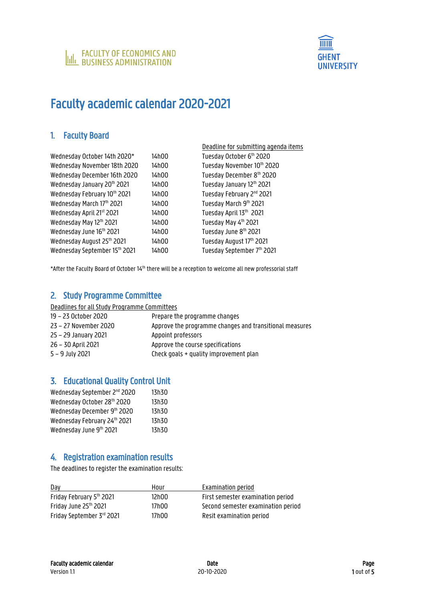

# Faculty academic calendar 2020-2021

#### 1. Faculty Board

|                               |       | Deadline for submitting agenda items  |
|-------------------------------|-------|---------------------------------------|
| Wednesday October 14th 2020*  | 14h00 | Tuesday October 6th 2020              |
| Wednesday November 18th 2020  | 14h00 | Tuesday November 10th 2020            |
| Wednesday December 16th 2020  | 14h00 | Tuesday December 8th 2020             |
| Wednesday January 20th 2021   | 14h00 | Tuesday January 12th 2021             |
| Wednesday February 10th 2021  | 14h00 | Tuesday February 2 <sup>nd</sup> 2021 |
| Wednesday March 17th 2021     | 14h00 | Tuesday March 9th 2021                |
| Wednesday April 21st 2021     | 14h00 | Tuesday April 13th 2021               |
| Wednesday May 12th 2021       | 14h00 | Tuesday May 4th 2021                  |
| Wednesday June 16th 2021      | 14h00 | Tuesday June 8th 2021                 |
| Wednesday August 25th 2021    | 14h00 | Tuesday August 17th 2021              |
| Wednesday September 15th 2021 | 14h00 | Tuesday September 7th 2021            |
|                               |       |                                       |

\*After the Faculty Board of October 14<sup>th</sup> there will be a reception to welcome all new professorial staff

#### 2. Study Programme Committee

Deadlines for all Study Programme Committees

| 19 – 23 October 2020  | Prepare the programme changes                           |
|-----------------------|---------------------------------------------------------|
| 23 - 27 November 2020 | Approve the programme changes and transitional measures |
| 25 - 29 January 2021  | Appoint professors                                      |
| 26 - 30 April 2021    | Approve the course specifications                       |
| $5 - 9$ July 2021     | Check goals + quality improvement plan                  |

## 3. Educational Quality Control Unit

| Wednesday September 2 <sup>nd</sup> 2020 | 13h30 |
|------------------------------------------|-------|
| Wednesday October 28th 2020              | 13h30 |
| Wednesday December 9th 2020              | 13h30 |
| Wednesday February 24th 2021             | 13h30 |
| Wednesday June 9th 2021                  | 13h30 |

## 4. Registration examination results

The deadlines to register the examination results:

| Day                       | Hour  | Examination period                 |
|---------------------------|-------|------------------------------------|
| Friday February 5th 2021  | 12h00 | First semester examination period  |
| Friday June 25th 2021     | 17h00 | Second semester examination period |
| Friday September 3rd 2021 | 17h00 | Resit examination period           |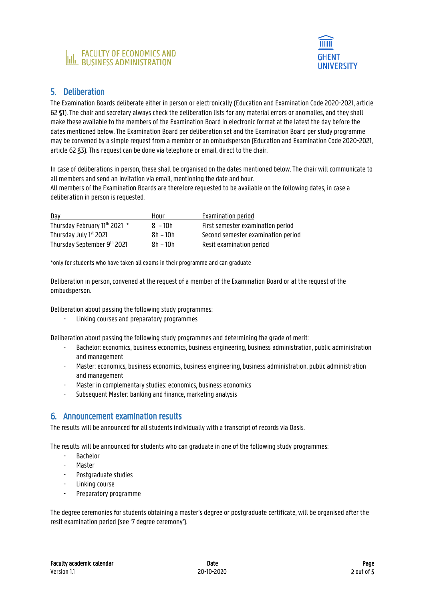



#### 5. Deliberation

The Examination Boards deliberate either in person or electronically (Education and Examination Code 2020-2021, article 62 §1). The chair and secretary always check the deliberation lists for any material errors or anomalies, and they shall make these available to the members of the Examination Board in electronic format at the latest the day before the dates mentioned below. The Examination Board per deliberation set and the Examination Board per study programme may be convened by a simple request from a member or an ombudsperson (Education and Examination Code 2020-2021, article 62 §3). This request can be done via telephone or email, direct to the chair.

In case of deliberations in person, these shall be organised on the dates mentioned below. The chair will communicate to all members and send an invitation via email, mentioning the date and hour.

All members of the Examination Boards are therefore requested to be available on the following dates, in case a deliberation in person is requested.

| Day                           | Hour      | Examination period                 |
|-------------------------------|-----------|------------------------------------|
| Thursday February 11th 2021 * | $8 - 10h$ | First semester examination period  |
| Thursday July 1st 2021        | 8h – 10h  | Second semester examination period |
| Thursday September 9th 2021   | 8h – 10h  | Resit examination period           |

\*only for students who have taken all exams in their programme and can graduate

Deliberation in person, convened at the request of a member of the Examination Board or at the request of the ombudsperson.

Deliberation about passing the following study programmes:

- Linking courses and preparatory programmes

Deliberation about passing the following study programmes and determining the grade of merit:

- Bachelor: economics, business economics, business engineering, business administration, public administration and management
- Master: economics, business economics, business engineering, business administration, public administration and management
- Master in complementary studies: economics, business economics
- Subsequent Master: banking and finance, marketing analysis

#### 6. Announcement examination results

The results will be announced for all students individually with a transcript of records via Oasis.

The results will be announced for students who can graduate in one of the following study programmes:

- **Bachelor**
- **Master**
- Postgraduate studies
- Linking course
- Preparatory programme

The degree ceremonies for students obtaining a master's degree or postgraduate certificate, will be organised after the resit examination period (see '7 degree ceremony').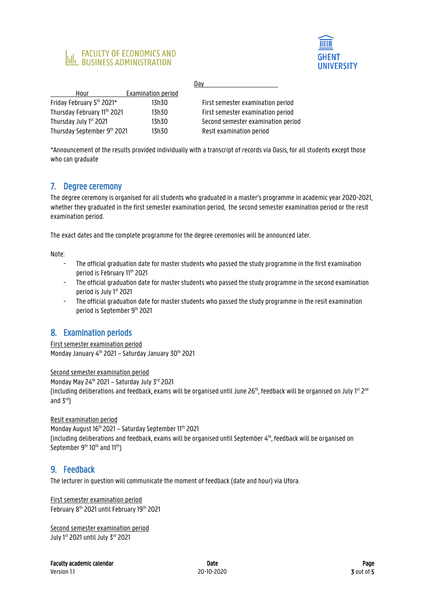# 



|                             | Dav                |                                    |  |
|-----------------------------|--------------------|------------------------------------|--|
| Hour                        | Examination period |                                    |  |
| Friday February 5th 2021*   | 13h30              | First semester examination period  |  |
| Thursday February 11th 2021 | 13h30              | First semester examination period  |  |
| Thursday July 1st 2021      | 13h30              | Second semester examination period |  |
| Thursday September 9th 2021 | 13h30              | Resit examination period           |  |

\*Announcement of the results provided individually with a transcript of records via Oasis, for all students except those who can graduate

#### 7. Degree ceremony

The degree ceremony is organised for all students who graduated in a master's programme in academic year 2020-2021, whether they graduated in the first semester examination period, the second semester examination period or the resit examination period.

The exact dates and the complete programme for the degree ceremonies will be announced later.

Note:

- The official graduation date for master students who passed the study programme in the first examination period is February 11<sup>th</sup> 2021
- The official graduation date for master students who passed the study programme in the second examination period is July 1st 2021
- The official graduation date for master students who passed the study programme in the resit examination period is September 9th 2021

#### 8. Examination periods

First semester examination period Monday January  $4<sup>th</sup>$  2021 – Saturday January 30 $<sup>th</sup>$  2021</sup>

Second semester examination period

Monday May 24<sup>th</sup> 2021 - Saturday July 3rd 2021 (including deliberations and feedback, exams will be organised until June 26 $^{\rm th}$ , feedback will be organised on July 1st 2nd and  $3<sup>rd</sup>$ 

#### Resit examination period

Monday August 16<sup>th</sup> 2021 - Saturday September 11<sup>th</sup> 2021 (including deliberations and feedback, exams will be organised until September  $4<sup>th</sup>$ , feedback will be organised on September 9<sup>th</sup> 10<sup>th</sup> and 11<sup>th</sup>)

#### 9. Feedback

The lecturer in question will communicate the moment of feedback (date and hour) via Ufora.

First semester examination period February 8<sup>th</sup> 2021 until February 19<sup>th</sup> 2021

Second semester examination period July 1st 2021 until July 3rd 2021

Version 1.1 20-10-2020 3 out of 5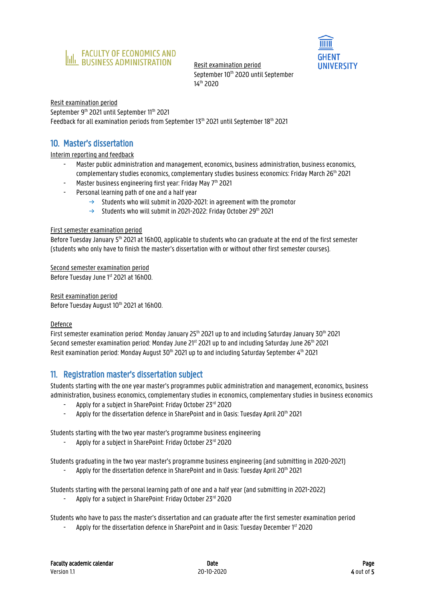

Resit examination period September 10<sup>th</sup> 2020 until September 14th 2020



#### Resit examination period

September 9<sup>th</sup> 2021 until September 11<sup>th</sup> 2021

Feedback for all examination periods from September 13<sup>th</sup> 2021 until September 18<sup>th</sup> 2021

# 10. Master's dissertation

Interim reporting and feedback

- Master public administration and management, economics, business administration, business economics, complementary studies economics, complementary studies business economics: Friday March 26<sup>th</sup> 2021
- Master business engineering first year: Friday May 7<sup>th</sup> 2021
- Personal learning path of one and a half year
	- $\rightarrow$  Students who will submit in 2020-2021: in agreement with the promotor
	- $\rightarrow$  Students who will submit in 2021-2022: Friday October 29<sup>th</sup> 2021

#### First semester examination period

Before Tuesday January 5<sup>th</sup> 2021 at 16h00, applicable to students who can graduate at the end of the first semester (students who only have to finish the master's dissertation with or without other first semester courses).

Second semester examination period Before Tuesday June 1st 2021 at 16h00.

Resit examination period Before Tuesday August 10<sup>th</sup> 2021 at 16h00.

#### Defence

First semester examination period: Monday January 25<sup>th</sup> 2021 up to and including Saturday January 30<sup>th</sup> 2021 Second semester examination period: Monday June 21st 2021 up to and including Saturday June 26<sup>th</sup> 2021 Resit examination period: Monday August 30<sup>th</sup> 2021 up to and including Saturday September 4<sup>th</sup> 2021

#### 11. Registration master's dissertation subject

Students starting with the one year master's programmes public administration and management, economics, business administration, business economics, complementary studies in economics, complementary studies in business economics

- Apply for a subject in SharePoint: Friday October 23rd 2020
- Apply for the dissertation defence in SharePoint and in Oasis: Tuesday April 20<sup>th</sup> 2021

Students starting with the two year master's programme business engineering

- Apply for a subject in SharePoint: Friday October 23rd 2020

Students graduating in the two year master's programme business engineering (and submitting in 2020-2021)

Apply for the dissertation defence in SharePoint and in Oasis: Tuesday April 20<sup>th</sup> 2021

Students starting with the personal learning path of one and a half year (and submitting in 2021-2022)

Apply for a subject in SharePoint: Friday October 23rd 2020

Students who have to pass the master's dissertation and can graduate after the first semester examination period

- Apply for the dissertation defence in SharePoint and in Oasis: Tuesday December 1st 2020